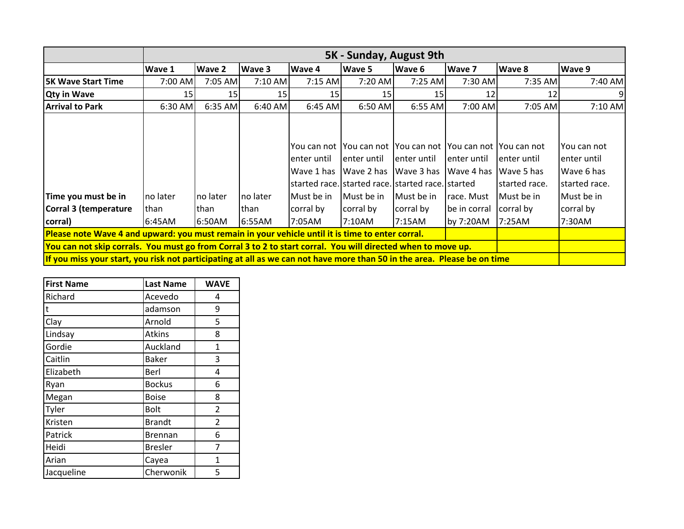|                                                                                                                          | 5K - Sunday, August 9th |          |                 |                                          |              |                                                                                                                                                            |              |                                             |                                                            |
|--------------------------------------------------------------------------------------------------------------------------|-------------------------|----------|-----------------|------------------------------------------|--------------|------------------------------------------------------------------------------------------------------------------------------------------------------------|--------------|---------------------------------------------|------------------------------------------------------------|
|                                                                                                                          | Wave 1                  | Wave 2   | Wave 3          | Wave 4                                   | Wave 5       | Wave 6                                                                                                                                                     | Wave 7       | Wave 8                                      | Wave 9                                                     |
| <b>5K Wave Start Time</b>                                                                                                | 7:00 AM                 | 7:05 AM  | 7:10 AM         | 7:15 AM                                  | 7:20 AM      | $7:25$ AM                                                                                                                                                  | 7:30 AM      | 7:35 AM                                     | 7:40 AM                                                    |
| <b>Qty in Wave</b>                                                                                                       | 15                      | 15       | 15 <sub>l</sub> | 15                                       | 15           | 15                                                                                                                                                         | 12           | 12                                          | $\overline{9}$                                             |
| <b>Arrival to Park</b>                                                                                                   | 6:30 AM                 | 6:35 AM  | $6:40$ AM       | 6:45 AM                                  | 6:50 AM      | 6:55 AM                                                                                                                                                    | 7:00 AM      | 7:05 AM                                     | 7:10 AM                                                    |
|                                                                                                                          |                         |          |                 | You can not<br>enter until<br>Wave 1 has | lenter until | You can not You can not You can not You can not<br>enter until<br>Wave 2 has Wave 3 has Wave 4 has<br>started race. Istarted race. Istarted race. Istarted | lenter until | lenter until<br>Wave 5 has<br>started race. | You can not<br>lenter until<br>Wave 6 has<br>started race. |
| Time you must be in                                                                                                      | Ino later               | no later | Ino later       | <b>I</b> Must be in                      | Must be in   | Must be in                                                                                                                                                 | Irace. Must  | Must be in                                  | Must be in                                                 |
| Corral 3 (temperature                                                                                                    | lthan                   | than     | lthan           | corral by                                | corral by    | corral by                                                                                                                                                  | be in corral | corral by                                   | corral by                                                  |
| corral)                                                                                                                  | 6:45AM                  | 6:50AM   | 6:55AM          | 7:05AM                                   | 7:10AM       | 7:15AM                                                                                                                                                     | by 7:20AM    | 7:25AM                                      | 7:30AM                                                     |
| Please note Wave 4 and upward: you must remain in your vehicle until it is time to enter corral.                         |                         |          |                 |                                          |              |                                                                                                                                                            |              |                                             |                                                            |
| You can not skip corrals. You must go from Corral 3 to 2 to start corral. You will directed when to move up.             |                         |          |                 |                                          |              |                                                                                                                                                            |              |                                             |                                                            |
| If you miss your start, you risk not participating at all as we can not have more than 50 in the area. Please be on time |                         |          |                 |                                          |              |                                                                                                                                                            |              |                                             |                                                            |

| <b>First Name</b> | <b>Last Name</b> | <b>WAVE</b> |
|-------------------|------------------|-------------|
| Richard           | Acevedo          | 4           |
| t                 | adamson          | 9           |
| Clay              | Arnold           | 5           |
| Lindsay           | Atkins           | 8           |
| Gordie            | Auckland         | 1           |
| Caitlin           | <b>Baker</b>     | 3           |
| Elizabeth         | Berl             | 4           |
| Ryan              | <b>Bockus</b>    | 6           |
| Megan             | <b>Boise</b>     | 8           |
| Tyler             | <b>Bolt</b>      | 2           |
| Kristen           | <b>Brandt</b>    | 2           |
| Patrick           | <b>Brennan</b>   | 6           |
| Heidi             | <b>Bresler</b>   | 7           |
| Arian             | Cayea            | 1           |
| Jacqueline        | Cherwonik        | 5           |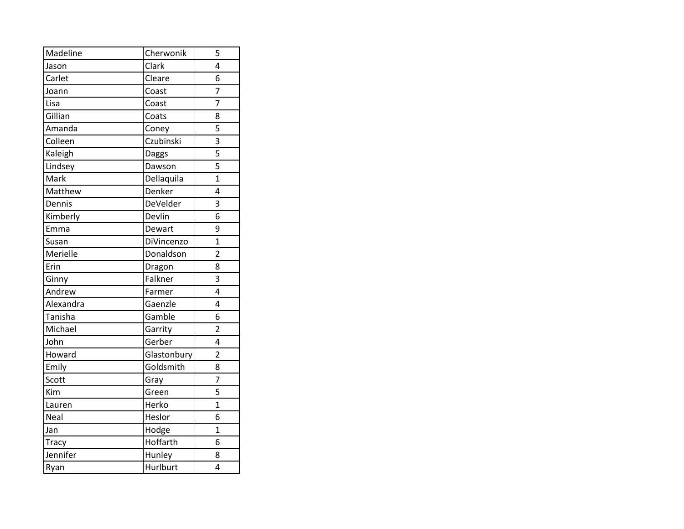| Madeline  | Cherwonik   | 5              |
|-----------|-------------|----------------|
| Jason     | Clark       | 4              |
| Carlet    | Cleare      | 6              |
| Joann     | Coast       | 7              |
| Lisa      | Coast       | 7              |
| Gillian   | Coats       | 8              |
| Amanda    | Coney       | 5              |
| Colleen   | Czubinski   | 3              |
| Kaleigh   | Daggs       | 5              |
| Lindsey   | Dawson      | 5              |
| Mark      | Dellaquila  | $\overline{1}$ |
| Matthew   | Denker      | 4              |
| Dennis    | DeVelder    | 3              |
| Kimberly  | Devlin      | 6              |
| Emma      | Dewart      | 9              |
| Susan     | DiVincenzo  | $\overline{1}$ |
| Merielle  | Donaldson   | $\overline{2}$ |
| Erin      | Dragon      | 8              |
| Ginny     | Falkner     | 3              |
| Andrew    | Farmer      | 4              |
| Alexandra | Gaenzle     | 4              |
| Tanisha   | Gamble      | 6              |
| Michael   | Garrity     | $\overline{2}$ |
| John      | Gerber      | 4              |
| Howard    | Glastonbury | $\overline{2}$ |
| Emily     | Goldsmith   | 8              |
| Scott     | Gray        | $\overline{7}$ |
| Kim       | Green       | 5              |
| Lauren    | Herko       | $\overline{1}$ |
| Neal      | Heslor      | 6              |
| Jan       | Hodge       | $\overline{1}$ |
| Tracy     | Hoffarth    | 6              |
| Jennifer  | Hunley      | 8              |
| Ryan      | Hurlburt    | 4              |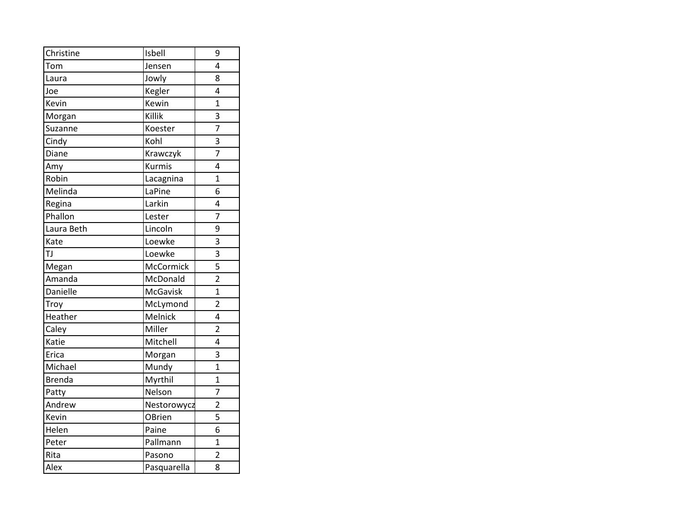| Christine     | Isbell      | 9              |
|---------------|-------------|----------------|
| Tom           | Jensen      | 4              |
| Laura         | Jowly       | 8              |
| Joe           | Kegler      | 4              |
| Kevin         | Kewin       | $\overline{1}$ |
| Morgan        | Killik      | 3              |
| Suzanne       | Koester     | 7              |
| Cindy         | Kohl        | 3              |
| Diane         | Krawczyk    | 7              |
| Amy           | Kurmis      | 4              |
| Robin         | Lacagnina   | $\overline{1}$ |
| Melinda       | LaPine      | 6              |
| Regina        | Larkin      | 4              |
| Phallon       | Lester      | $\overline{7}$ |
| Laura Beth    | Lincoln     | 9              |
| Kate          | Loewke      | 3              |
| TJ            | Loewke      | 3              |
| Megan         | McCormick   | 5              |
| Amanda        | McDonald    | $\overline{2}$ |
| Danielle      | McGavisk    | $\overline{1}$ |
| Troy          | McLymond    | $\overline{2}$ |
| Heather       | Melnick     | 4              |
| Caley         | Miller      | $\overline{2}$ |
| Katie         | Mitchell    | 4              |
| Erica         | Morgan      | 3              |
| Michael       | Mundy       | $\overline{1}$ |
| <b>Brenda</b> | Myrthil     | $\overline{1}$ |
| Patty         | Nelson      | 7              |
| Andrew        | Nestorowycz | $\overline{2}$ |
| Kevin         | OBrien      | 5              |
| Helen         | Paine       | 6              |
| Peter         | Pallmann    | $\overline{1}$ |
| Rita          | Pasono      | $\overline{2}$ |
| Alex          | Pasquarella | 8              |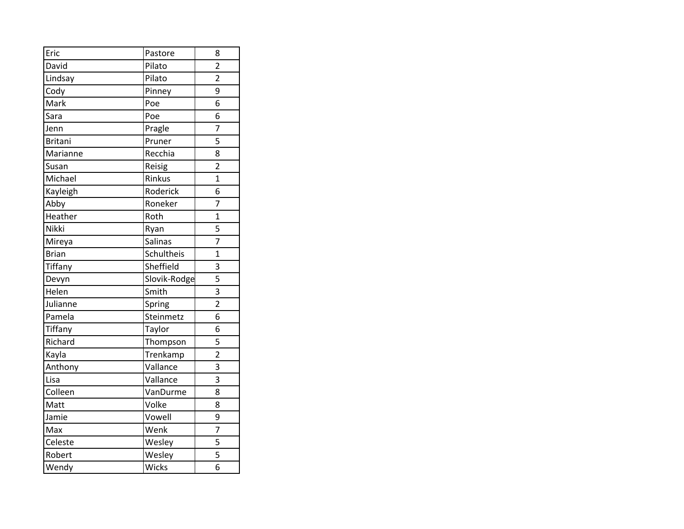| Eric           | Pastore      | 8              |
|----------------|--------------|----------------|
| David          | Pilato       | $\overline{2}$ |
| Lindsay        | Pilato       | $\overline{2}$ |
| Cody           | Pinney       | 9              |
| Mark           | Poe          | 6              |
| Sara           | Poe          | 6              |
| Jenn           | Pragle       | 7              |
| <b>Britani</b> | Pruner       | 5              |
| Marianne       | Recchia      | 8              |
| Susan          | Reisig       | $\overline{2}$ |
| Michael        | Rinkus       | $\overline{1}$ |
| Kayleigh       | Roderick     | 6              |
| Abby           | Roneker      | $\overline{7}$ |
| Heather        | Roth         | $\overline{1}$ |
| Nikki          | Ryan         | 5              |
| Mireya         | Salinas      | $\overline{7}$ |
| <b>Brian</b>   | Schultheis   | $\overline{1}$ |
| Tiffany        | Sheffield    | 3              |
| Devyn          | Slovik-Rodge | 5              |
| Helen          | Smith        | 3              |
| Julianne       | Spring       | $\overline{2}$ |
| Pamela         | Steinmetz    | 6              |
| Tiffany        | Taylor       | 6              |
| Richard        | Thompson     | 5              |
| Kayla          | Trenkamp     | $\overline{2}$ |
| Anthony        | Vallance     | 3              |
| Lisa           | Vallance     | 3              |
| Colleen        | VanDurme     | 8              |
| Matt           | Volke        | 8              |
| Jamie          | Vowell       | 9              |
| Max            | Wenk         | 7              |
| Celeste        | Wesley       | 5              |
| Robert         | Wesley       | 5              |
| Wendy          | Wicks        | 6              |